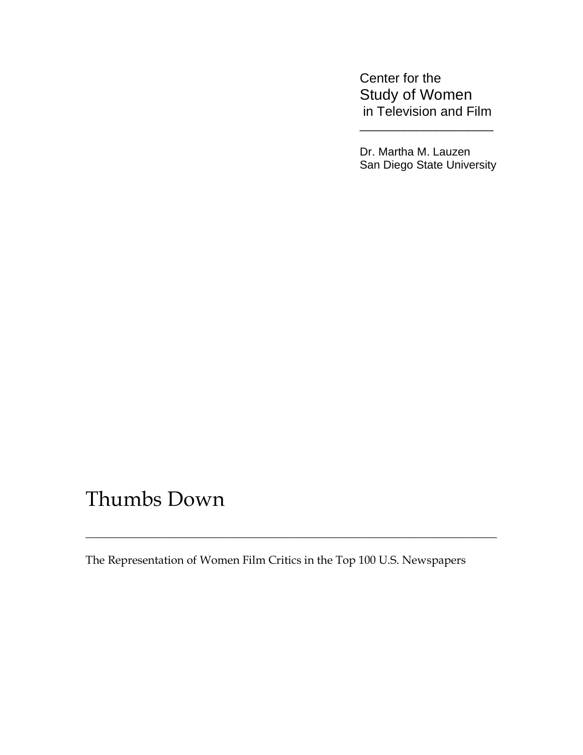Center for the Study of Women in Television and Film

 Dr. Martha M. Lauzen San Diego State University

# Thumbs Down

The Representation of Women Film Critics in the Top 100 U.S. Newspapers

\_\_\_\_\_\_\_\_\_\_\_\_\_\_\_\_\_\_\_\_\_\_\_\_\_\_\_\_\_\_\_\_\_\_\_\_\_\_\_\_\_\_\_\_\_\_\_\_\_\_\_\_\_\_\_\_\_\_\_\_\_\_\_\_\_\_\_\_\_\_\_\_

 $\overline{\phantom{a}}$  , which is a set of the contract of the contract of the contract of the contract of the contract of the contract of the contract of the contract of the contract of the contract of the contract of the contract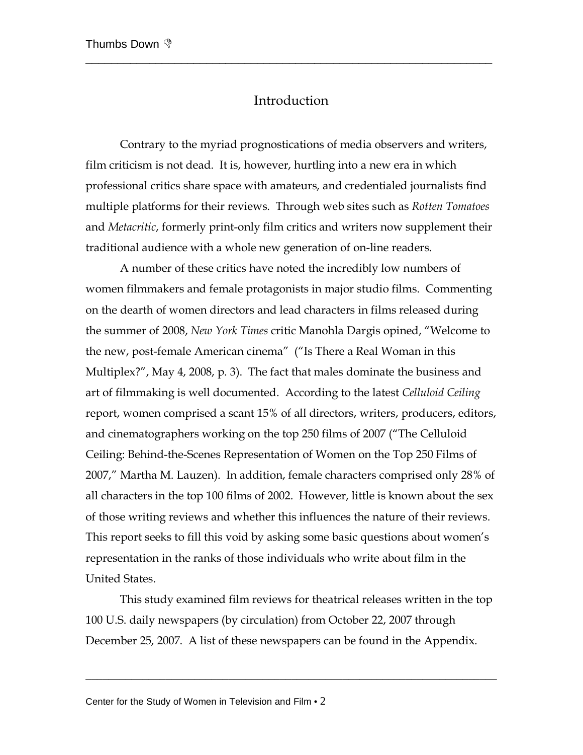# Introduction

\_\_\_\_\_\_\_\_\_\_\_\_\_\_\_\_\_\_\_\_\_\_\_\_\_\_\_\_\_\_\_\_\_\_\_\_\_\_\_\_\_\_\_\_\_\_\_\_\_\_\_\_\_\_\_\_\_\_\_\_\_\_\_\_

 Contrary to the myriad prognostications of media observers and writers, film criticism is not dead. It is, however, hurtling into a new era in which professional critics share space with amateurs, and credentialed journalists find multiple platforms for their reviews. Through web sites such as *Rotten Tomatoes* and *Metacritic*, formerly print-only film critics and writers now supplement their traditional audience with a whole new generation of on-line readers.

 A number of these critics have noted the incredibly low numbers of women filmmakers and female protagonists in major studio films. Commenting on the dearth of women directors and lead characters in films released during the summer of 2008, *New York Times* critic Manohla Dargis opined, "Welcome to the new, post-female American cinema" ("Is There a Real Woman in this Multiplex?", May 4, 2008, p. 3). The fact that males dominate the business and art of filmmaking is well documented. According to the latest *Celluloid Ceiling* report, women comprised a scant 15% of all directors, writers, producers, editors, and cinematographers working on the top 250 films of 2007 ("The Celluloid Ceiling: Behind-the-Scenes Representation of Women on the Top 250 Films of 2007," Martha M. Lauzen). In addition, female characters comprised only 28% of all characters in the top 100 films of 2002. However, little is known about the sex of those writing reviews and whether this influences the nature of their reviews. This report seeks to fill this void by asking some basic questions about women's representation in the ranks of those individuals who write about film in the United States.

 This study examined film reviews for theatrical releases written in the top 100 U.S. daily newspapers (by circulation) from October 22, 2007 through December 25, 2007. A list of these newspapers can be found in the Appendix.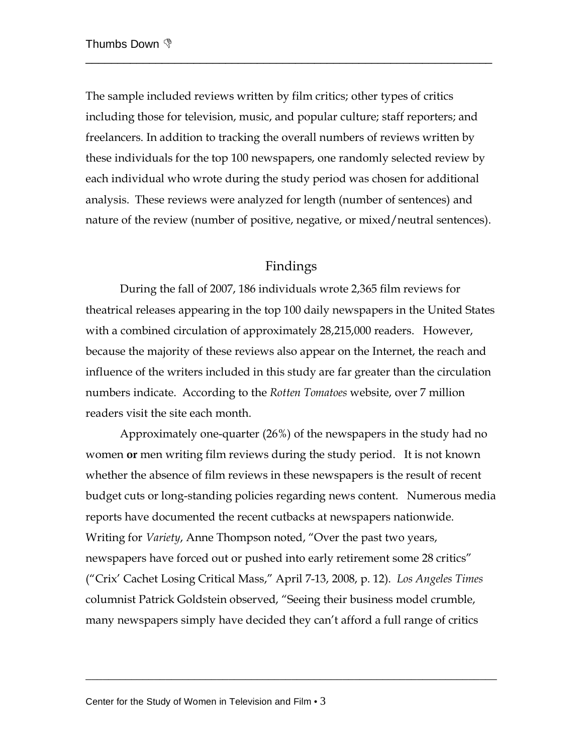The sample included reviews written by film critics; other types of critics including those for television, music, and popular culture; staff reporters; and freelancers. In addition to tracking the overall numbers of reviews written by these individuals for the top 100 newspapers, one randomly selected review by each individual who wrote during the study period was chosen for additional analysis. These reviews were analyzed for length (number of sentences) and nature of the review (number of positive, negative, or mixed/neutral sentences).

\_\_\_\_\_\_\_\_\_\_\_\_\_\_\_\_\_\_\_\_\_\_\_\_\_\_\_\_\_\_\_\_\_\_\_\_\_\_\_\_\_\_\_\_\_\_\_\_\_\_\_\_\_\_\_\_\_\_\_\_\_\_\_\_

# Findings

 During the fall of 2007, 186 individuals wrote 2,365 film reviews for theatrical releases appearing in the top 100 daily newspapers in the United States with a combined circulation of approximately 28,215,000 readers. However, because the majority of these reviews also appear on the Internet, the reach and influence of the writers included in this study are far greater than the circulation numbers indicate. According to the *Rotten Tomatoes* website, over 7 million readers visit the site each month.

Approximately one-quarter (26%) of the newspapers in the study had no women **or** men writing film reviews during the study period. It is not known whether the absence of film reviews in these newspapers is the result of recent budget cuts or long-standing policies regarding news content. Numerous media reports have documented the recent cutbacks at newspapers nationwide. Writing for *Variety*, Anne Thompson noted, "Over the past two years, newspapers have forced out or pushed into early retirement some 28 critics" ("Crix' Cachet Losing Critical Mass," April 7-13, 2008, p. 12). *Los Angeles Times* columnist Patrick Goldstein observed, "Seeing their business model crumble, many newspapers simply have decided they can't afford a full range of critics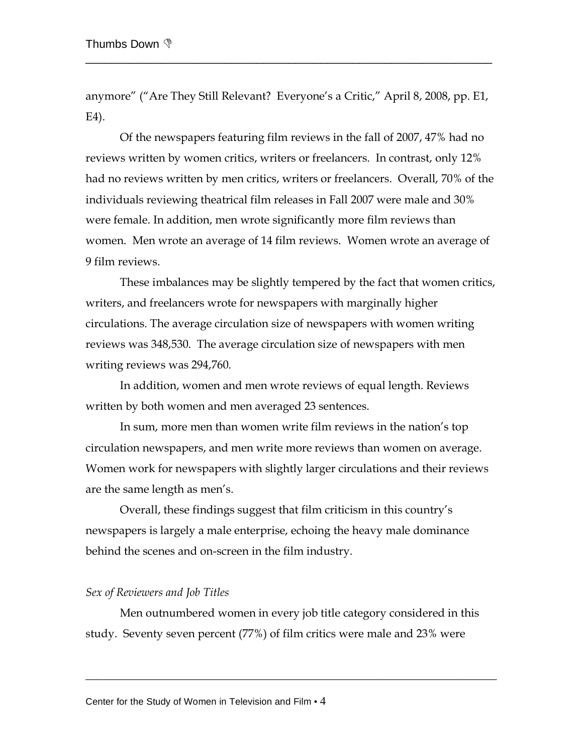anymore" ("Are They Still Relevant? Everyone's a Critic," April 8, 2008, pp. E1, E4).

\_\_\_\_\_\_\_\_\_\_\_\_\_\_\_\_\_\_\_\_\_\_\_\_\_\_\_\_\_\_\_\_\_\_\_\_\_\_\_\_\_\_\_\_\_\_\_\_\_\_\_\_\_\_\_\_\_\_\_\_\_\_\_\_

 Of the newspapers featuring film reviews in the fall of 2007, 47% had no reviews written by women critics, writers or freelancers. In contrast, only 12% had no reviews written by men critics, writers or freelancers. Overall, 70% of the individuals reviewing theatrical film releases in Fall 2007 were male and 30% were female. In addition, men wrote significantly more film reviews than women. Men wrote an average of 14 film reviews. Women wrote an average of 9 film reviews.

These imbalances may be slightly tempered by the fact that women critics, writers, and freelancers wrote for newspapers with marginally higher circulations. The average circulation size of newspapers with women writing reviews was 348,530. The average circulation size of newspapers with men writing reviews was 294,760.

In addition, women and men wrote reviews of equal length. Reviews written by both women and men averaged 23 sentences.

In sum, more men than women write film reviews in the nation's top circulation newspapers, and men write more reviews than women on average. Women work for newspapers with slightly larger circulations and their reviews are the same length as men's.

Overall, these findings suggest that film criticism in this country's newspapers is largely a male enterprise, echoing the heavy male dominance behind the scenes and on-screen in the film industry.

#### *Sex of Reviewers and Job Titles*

 Men outnumbered women in every job title category considered in this study. Seventy seven percent (77%) of film critics were male and 23% were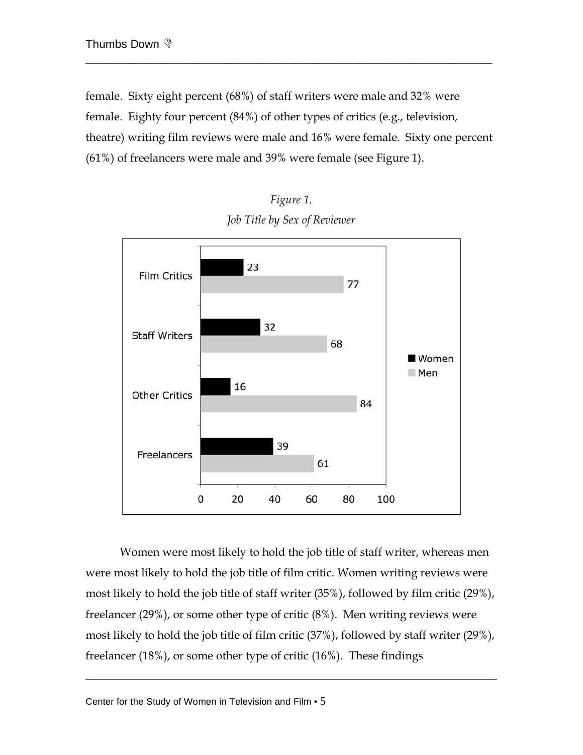female. Sixty eight percent (68%) of staff writers were male and 32% were female. Eighty four percent (84%) of other types of critics (e.g., television, theatre) writing film reviews were male and 16% were female. Sixty one percent (61%) of freelancers were male and 39% were female (see Figure 1).

\_\_\_\_\_\_\_\_\_\_\_\_\_\_\_\_\_\_\_\_\_\_\_\_\_\_\_\_\_\_\_\_\_\_\_\_\_\_\_\_\_\_\_\_\_\_\_\_\_\_\_\_\_\_\_\_\_\_\_\_\_\_\_\_



*Figure 1. Job Title by Sex of Reviewer*

Women were most likely to hold the job title of staff writer, whereas men were most likely to hold the job title of film critic. Women writing reviews were most likely to hold the job title of staff writer (35%), followed by film critic (29%), freelancer (29%), or some other type of critic (8%). Men writing reviews were most likely to hold the job title of film critic (37%), followed by staff writer (29%), freelancer (18%), or some other type of critic (16%). These findings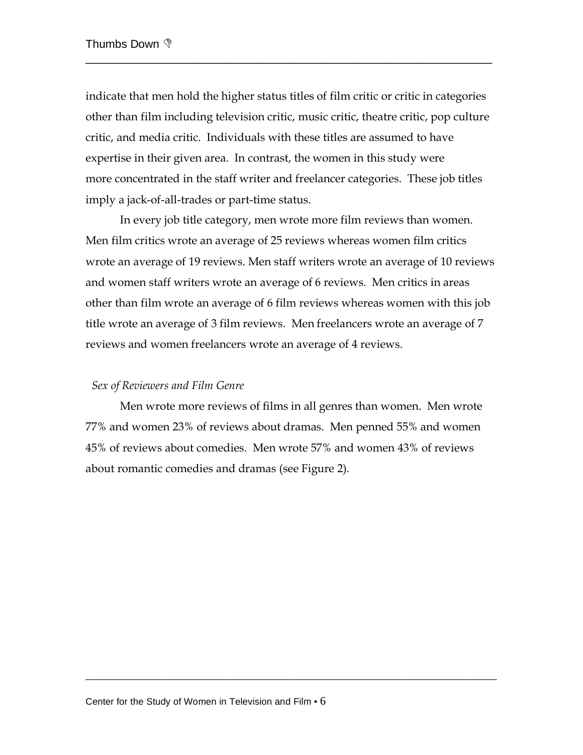indicate that men hold the higher status titles of film critic or critic in categories other than film including television critic, music critic, theatre critic, pop culture critic, and media critic. Individuals with these titles are assumed to have expertise in their given area. In contrast, the women in this study were more concentrated in the staff writer and freelancer categories. These job titles imply a jack-of-all-trades or part-time status.

\_\_\_\_\_\_\_\_\_\_\_\_\_\_\_\_\_\_\_\_\_\_\_\_\_\_\_\_\_\_\_\_\_\_\_\_\_\_\_\_\_\_\_\_\_\_\_\_\_\_\_\_\_\_\_\_\_\_\_\_\_\_\_\_

 In every job title category, men wrote more film reviews than women. Men film critics wrote an average of 25 reviews whereas women film critics wrote an average of 19 reviews. Men staff writers wrote an average of 10 reviews and women staff writers wrote an average of 6 reviews. Men critics in areas other than film wrote an average of 6 film reviews whereas women with this job title wrote an average of 3 film reviews. Men freelancers wrote an average of 7 reviews and women freelancers wrote an average of 4 reviews.

## *Sex of Reviewers and Film Genre*

 Men wrote more reviews of films in all genres than women. Men wrote 77% and women 23% of reviews about dramas. Men penned 55% and women 45% of reviews about comedies. Men wrote 57% and women 43% of reviews about romantic comedies and dramas (see Figure 2).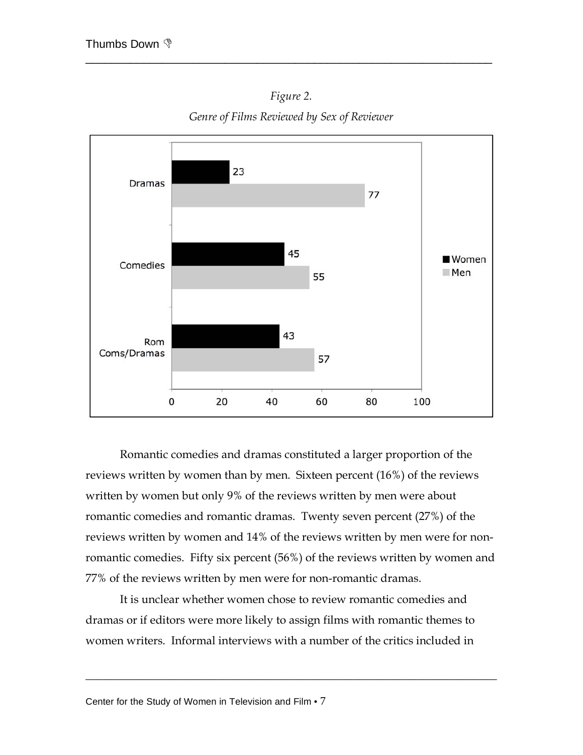

\_\_\_\_\_\_\_\_\_\_\_\_\_\_\_\_\_\_\_\_\_\_\_\_\_\_\_\_\_\_\_\_\_\_\_\_\_\_\_\_\_\_\_\_\_\_\_\_\_\_\_\_\_\_\_\_\_\_\_\_\_\_\_\_



*Genre of Films Reviewed by Sex of Reviewer* 

Romantic comedies and dramas constituted a larger proportion of the reviews written by women than by men. Sixteen percent (16%) of the reviews written by women but only 9% of the reviews written by men were about romantic comedies and romantic dramas. Twenty seven percent (27%) of the reviews written by women and 14% of the reviews written by men were for nonromantic comedies. Fifty six percent (56%) of the reviews written by women and 77% of the reviews written by men were for non-romantic dramas.

It is unclear whether women chose to review romantic comedies and dramas or if editors were more likely to assign films with romantic themes to women writers. Informal interviews with a number of the critics included in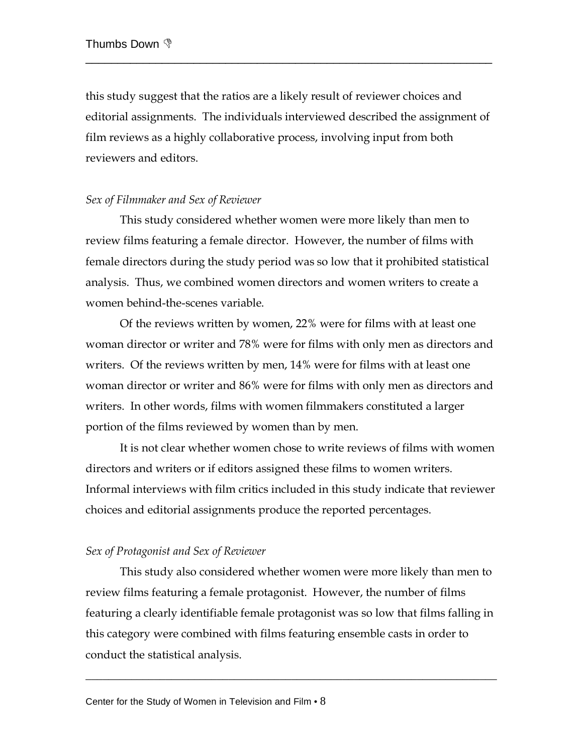this study suggest that the ratios are a likely result of reviewer choices and editorial assignments. The individuals interviewed described the assignment of film reviews as a highly collaborative process, involving input from both reviewers and editors.

\_\_\_\_\_\_\_\_\_\_\_\_\_\_\_\_\_\_\_\_\_\_\_\_\_\_\_\_\_\_\_\_\_\_\_\_\_\_\_\_\_\_\_\_\_\_\_\_\_\_\_\_\_\_\_\_\_\_\_\_\_\_\_\_

## *Sex of Filmmaker and Sex of Reviewer*

 This study considered whether women were more likely than men to review films featuring a female director. However, the number of films with female directors during the study period was so low that it prohibited statistical analysis. Thus, we combined women directors and women writers to create a women behind-the-scenes variable.

Of the reviews written by women, 22% were for films with at least one woman director or writer and 78% were for films with only men as directors and writers. Of the reviews written by men, 14% were for films with at least one woman director or writer and 86% were for films with only men as directors and writers. In other words, films with women filmmakers constituted a larger portion of the films reviewed by women than by men.

It is not clear whether women chose to write reviews of films with women directors and writers or if editors assigned these films to women writers. Informal interviews with film critics included in this study indicate that reviewer choices and editorial assignments produce the reported percentages.

## *Sex of Protagonist and Sex of Reviewer*

 This study also considered whether women were more likely than men to review films featuring a female protagonist. However, the number of films featuring a clearly identifiable female protagonist was so low that films falling in this category were combined with films featuring ensemble casts in order to conduct the statistical analysis.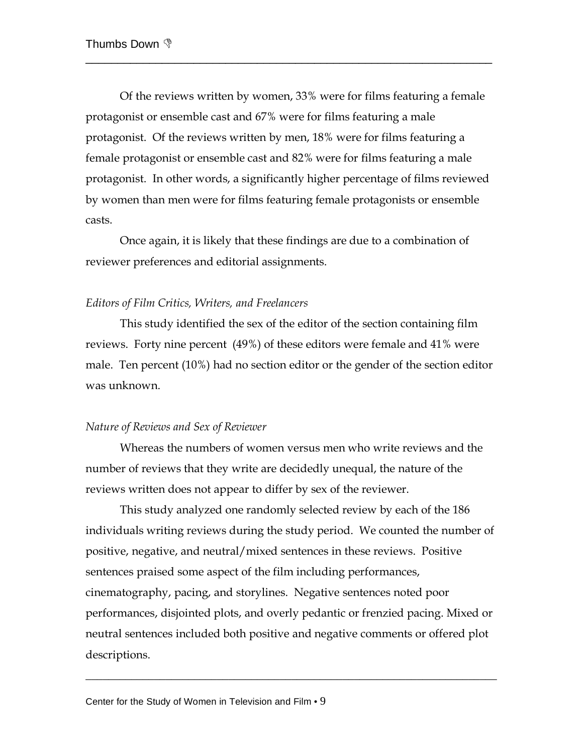Of the reviews written by women, 33% were for films featuring a female protagonist or ensemble cast and 67% were for films featuring a male protagonist. Of the reviews written by men, 18% were for films featuring a female protagonist or ensemble cast and 82% were for films featuring a male protagonist. In other words, a significantly higher percentage of films reviewed by women than men were for films featuring female protagonists or ensemble casts.

\_\_\_\_\_\_\_\_\_\_\_\_\_\_\_\_\_\_\_\_\_\_\_\_\_\_\_\_\_\_\_\_\_\_\_\_\_\_\_\_\_\_\_\_\_\_\_\_\_\_\_\_\_\_\_\_\_\_\_\_\_\_\_\_

 Once again, it is likely that these findings are due to a combination of reviewer preferences and editorial assignments.

#### *Editors of Film Critics, Writers, and Freelancers*

 This study identified the sex of the editor of the section containing film reviews. Forty nine percent (49%) of these editors were female and 41% were male. Ten percent (10%) had no section editor or the gender of the section editor was unknown.

## *Nature of Reviews and Sex of Reviewer*

Whereas the numbers of women versus men who write reviews and the number of reviews that they write are decidedly unequal, the nature of the reviews written does not appear to differ by sex of the reviewer.

This study analyzed one randomly selected review by each of the 186 individuals writing reviews during the study period. We counted the number of positive, negative, and neutral/mixed sentences in these reviews. Positive sentences praised some aspect of the film including performances, cinematography, pacing, and storylines. Negative sentences noted poor performances, disjointed plots, and overly pedantic or frenzied pacing. Mixed or neutral sentences included both positive and negative comments or offered plot descriptions.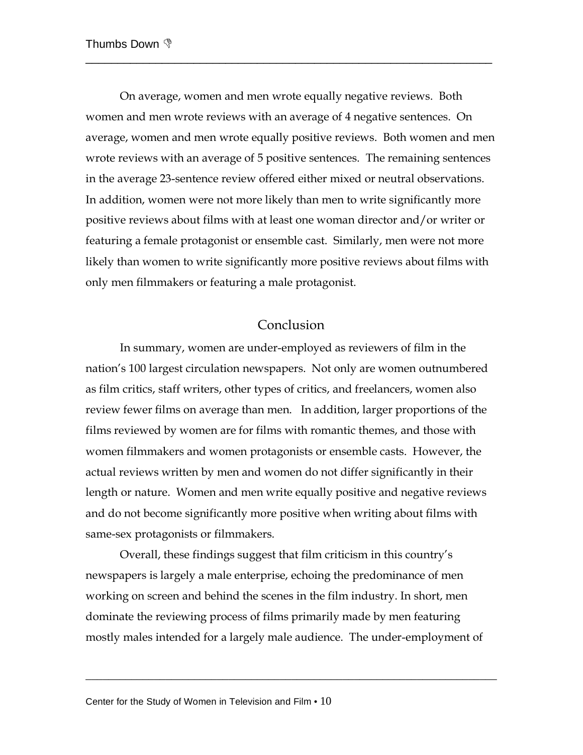On average, women and men wrote equally negative reviews. Both women and men wrote reviews with an average of 4 negative sentences. On average, women and men wrote equally positive reviews. Both women and men wrote reviews with an average of 5 positive sentences. The remaining sentences in the average 23-sentence review offered either mixed or neutral observations. In addition, women were not more likely than men to write significantly more positive reviews about films with at least one woman director and/or writer or featuring a female protagonist or ensemble cast. Similarly, men were not more likely than women to write significantly more positive reviews about films with only men filmmakers or featuring a male protagonist.

\_\_\_\_\_\_\_\_\_\_\_\_\_\_\_\_\_\_\_\_\_\_\_\_\_\_\_\_\_\_\_\_\_\_\_\_\_\_\_\_\_\_\_\_\_\_\_\_\_\_\_\_\_\_\_\_\_\_\_\_\_\_\_\_

## Conclusion

In summary, women are under-employed as reviewers of film in the nation's 100 largest circulation newspapers. Not only are women outnumbered as film critics, staff writers, other types of critics, and freelancers, women also review fewer films on average than men. In addition, larger proportions of the films reviewed by women are for films with romantic themes, and those with women filmmakers and women protagonists or ensemble casts. However, the actual reviews written by men and women do not differ significantly in their length or nature. Women and men write equally positive and negative reviews and do not become significantly more positive when writing about films with same-sex protagonists or filmmakers.

Overall, these findings suggest that film criticism in this country's newspapers is largely a male enterprise, echoing the predominance of men working on screen and behind the scenes in the film industry. In short, men dominate the reviewing process of films primarily made by men featuring mostly males intended for a largely male audience. The under-employment of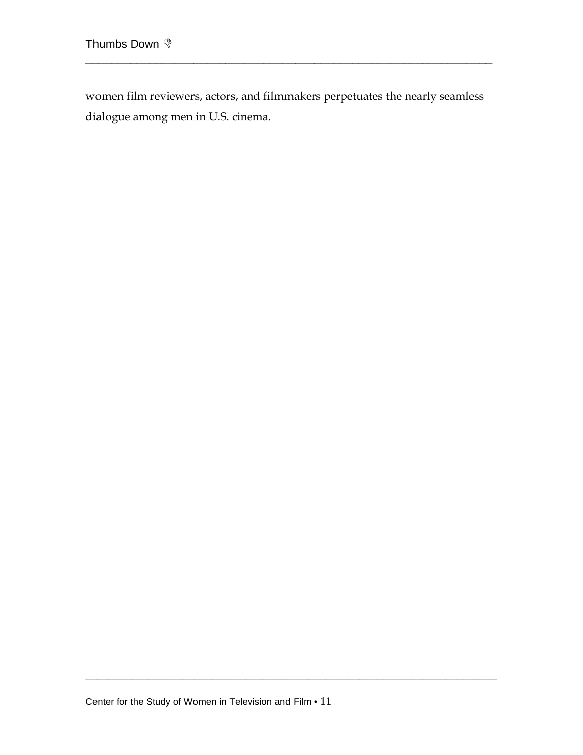women film reviewers, actors, and filmmakers perpetuates the nearly seamless dialogue among men in U.S. cinema.

\_\_\_\_\_\_\_\_\_\_\_\_\_\_\_\_\_\_\_\_\_\_\_\_\_\_\_\_\_\_\_\_\_\_\_\_\_\_\_\_\_\_\_\_\_\_\_\_\_\_\_\_\_\_\_\_\_\_\_\_\_\_\_\_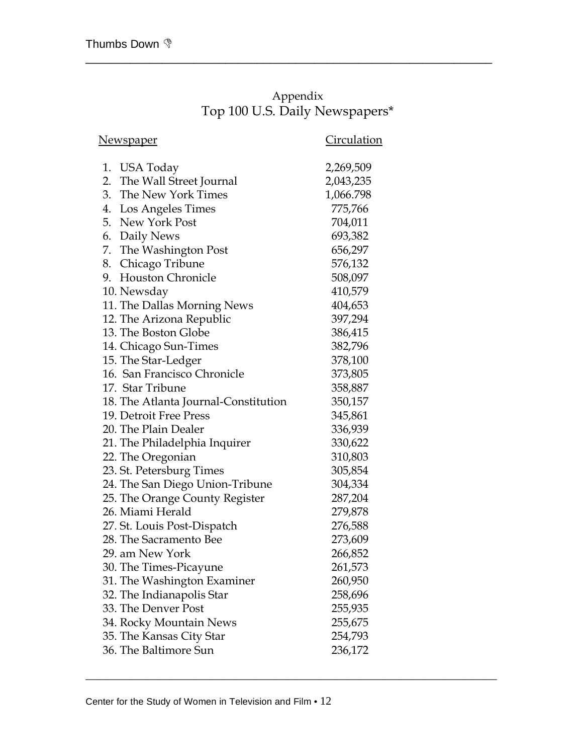# Appendix Top 100 U.S. Daily Newspapers\*

\_\_\_\_\_\_\_\_\_\_\_\_\_\_\_\_\_\_\_\_\_\_\_\_\_\_\_\_\_\_\_\_\_\_\_\_\_\_\_\_\_\_\_\_\_\_\_\_\_\_\_\_\_\_\_\_\_\_\_\_\_\_\_\_

|                          | Circulation                                                                                                                                                                                                                                                                                                                                                                                                                                                                                                                                                                                                                                                                                                                                                                                                                                                                                                                                  |
|--------------------------|----------------------------------------------------------------------------------------------------------------------------------------------------------------------------------------------------------------------------------------------------------------------------------------------------------------------------------------------------------------------------------------------------------------------------------------------------------------------------------------------------------------------------------------------------------------------------------------------------------------------------------------------------------------------------------------------------------------------------------------------------------------------------------------------------------------------------------------------------------------------------------------------------------------------------------------------|
|                          | 2,269,509                                                                                                                                                                                                                                                                                                                                                                                                                                                                                                                                                                                                                                                                                                                                                                                                                                                                                                                                    |
|                          | 2,043,235                                                                                                                                                                                                                                                                                                                                                                                                                                                                                                                                                                                                                                                                                                                                                                                                                                                                                                                                    |
|                          | 1,066.798                                                                                                                                                                                                                                                                                                                                                                                                                                                                                                                                                                                                                                                                                                                                                                                                                                                                                                                                    |
|                          | 775,766                                                                                                                                                                                                                                                                                                                                                                                                                                                                                                                                                                                                                                                                                                                                                                                                                                                                                                                                      |
|                          | 704,011                                                                                                                                                                                                                                                                                                                                                                                                                                                                                                                                                                                                                                                                                                                                                                                                                                                                                                                                      |
|                          | 693,382                                                                                                                                                                                                                                                                                                                                                                                                                                                                                                                                                                                                                                                                                                                                                                                                                                                                                                                                      |
|                          | 656,297                                                                                                                                                                                                                                                                                                                                                                                                                                                                                                                                                                                                                                                                                                                                                                                                                                                                                                                                      |
|                          | 576,132                                                                                                                                                                                                                                                                                                                                                                                                                                                                                                                                                                                                                                                                                                                                                                                                                                                                                                                                      |
| <b>Houston Chronicle</b> | 508,097                                                                                                                                                                                                                                                                                                                                                                                                                                                                                                                                                                                                                                                                                                                                                                                                                                                                                                                                      |
|                          | 410,579                                                                                                                                                                                                                                                                                                                                                                                                                                                                                                                                                                                                                                                                                                                                                                                                                                                                                                                                      |
|                          | 404,653                                                                                                                                                                                                                                                                                                                                                                                                                                                                                                                                                                                                                                                                                                                                                                                                                                                                                                                                      |
|                          | 397,294                                                                                                                                                                                                                                                                                                                                                                                                                                                                                                                                                                                                                                                                                                                                                                                                                                                                                                                                      |
|                          | 386,415                                                                                                                                                                                                                                                                                                                                                                                                                                                                                                                                                                                                                                                                                                                                                                                                                                                                                                                                      |
|                          | 382,796                                                                                                                                                                                                                                                                                                                                                                                                                                                                                                                                                                                                                                                                                                                                                                                                                                                                                                                                      |
|                          | 378,100                                                                                                                                                                                                                                                                                                                                                                                                                                                                                                                                                                                                                                                                                                                                                                                                                                                                                                                                      |
|                          | 373,805                                                                                                                                                                                                                                                                                                                                                                                                                                                                                                                                                                                                                                                                                                                                                                                                                                                                                                                                      |
|                          | 358,887                                                                                                                                                                                                                                                                                                                                                                                                                                                                                                                                                                                                                                                                                                                                                                                                                                                                                                                                      |
|                          | 350,157                                                                                                                                                                                                                                                                                                                                                                                                                                                                                                                                                                                                                                                                                                                                                                                                                                                                                                                                      |
|                          | 345,861                                                                                                                                                                                                                                                                                                                                                                                                                                                                                                                                                                                                                                                                                                                                                                                                                                                                                                                                      |
|                          | 336,939                                                                                                                                                                                                                                                                                                                                                                                                                                                                                                                                                                                                                                                                                                                                                                                                                                                                                                                                      |
|                          | 330,622                                                                                                                                                                                                                                                                                                                                                                                                                                                                                                                                                                                                                                                                                                                                                                                                                                                                                                                                      |
|                          | 310,803                                                                                                                                                                                                                                                                                                                                                                                                                                                                                                                                                                                                                                                                                                                                                                                                                                                                                                                                      |
|                          | 305,854                                                                                                                                                                                                                                                                                                                                                                                                                                                                                                                                                                                                                                                                                                                                                                                                                                                                                                                                      |
|                          | 304,334                                                                                                                                                                                                                                                                                                                                                                                                                                                                                                                                                                                                                                                                                                                                                                                                                                                                                                                                      |
|                          | 287,204                                                                                                                                                                                                                                                                                                                                                                                                                                                                                                                                                                                                                                                                                                                                                                                                                                                                                                                                      |
|                          | 279,878                                                                                                                                                                                                                                                                                                                                                                                                                                                                                                                                                                                                                                                                                                                                                                                                                                                                                                                                      |
|                          | 276,588                                                                                                                                                                                                                                                                                                                                                                                                                                                                                                                                                                                                                                                                                                                                                                                                                                                                                                                                      |
|                          | 273,609                                                                                                                                                                                                                                                                                                                                                                                                                                                                                                                                                                                                                                                                                                                                                                                                                                                                                                                                      |
|                          | 266,852                                                                                                                                                                                                                                                                                                                                                                                                                                                                                                                                                                                                                                                                                                                                                                                                                                                                                                                                      |
|                          | 261,573                                                                                                                                                                                                                                                                                                                                                                                                                                                                                                                                                                                                                                                                                                                                                                                                                                                                                                                                      |
|                          | 260,950                                                                                                                                                                                                                                                                                                                                                                                                                                                                                                                                                                                                                                                                                                                                                                                                                                                                                                                                      |
|                          | 258,696                                                                                                                                                                                                                                                                                                                                                                                                                                                                                                                                                                                                                                                                                                                                                                                                                                                                                                                                      |
|                          | 255,935                                                                                                                                                                                                                                                                                                                                                                                                                                                                                                                                                                                                                                                                                                                                                                                                                                                                                                                                      |
|                          | 255,675                                                                                                                                                                                                                                                                                                                                                                                                                                                                                                                                                                                                                                                                                                                                                                                                                                                                                                                                      |
|                          | 254,793                                                                                                                                                                                                                                                                                                                                                                                                                                                                                                                                                                                                                                                                                                                                                                                                                                                                                                                                      |
|                          | 236,172                                                                                                                                                                                                                                                                                                                                                                                                                                                                                                                                                                                                                                                                                                                                                                                                                                                                                                                                      |
|                          | New <u>spaper</u><br>1. USA Today<br>The Wall Street Journal<br>3. The New York Times<br>Los Angeles Times<br>5. New York Post<br>6. Daily News<br>The Washington Post<br>Chicago Tribune<br>10. Newsday<br>11. The Dallas Morning News<br>12. The Arizona Republic<br>13. The Boston Globe<br>14. Chicago Sun-Times<br>15. The Star-Ledger<br>16. San Francisco Chronicle<br>17. Star Tribune<br>18. The Atlanta Journal-Constitution<br>19. Detroit Free Press<br>20. The Plain Dealer<br>21. The Philadelphia Inquirer<br>22. The Oregonian<br>23. St. Petersburg Times<br>24. The San Diego Union-Tribune<br>25. The Orange County Register<br>26. Miami Herald<br>27. St. Louis Post-Dispatch<br>28. The Sacramento Bee<br>29. am New York<br>30. The Times-Picayune<br>31. The Washington Examiner<br>32. The Indianapolis Star<br>33. The Denver Post<br>34. Rocky Mountain News<br>35. The Kansas City Star<br>36. The Baltimore Sun |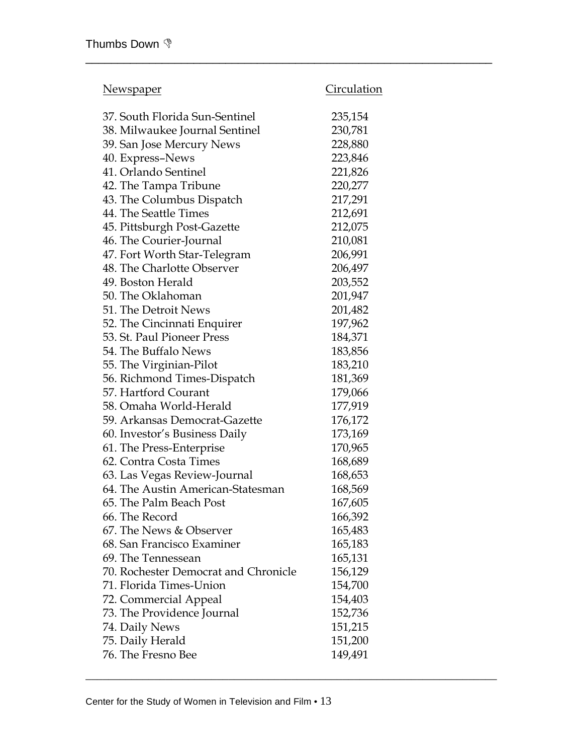| <u>Newspaper</u>                     | <u>Circulation</u> |
|--------------------------------------|--------------------|
| 37. South Florida Sun-Sentinel       | 235,154            |
| 38. Milwaukee Journal Sentinel       | 230,781            |
| 39. San Jose Mercury News            | 228,880            |
| 40. Express-News                     | 223,846            |
| 41. Orlando Sentinel                 | 221,826            |
| 42. The Tampa Tribune                | 220,277            |
| 43. The Columbus Dispatch            | 217,291            |
| 44. The Seattle Times                | 212,691            |
| 45. Pittsburgh Post-Gazette          | 212,075            |
| 46. The Courier-Journal              | 210,081            |
| 47. Fort Worth Star-Telegram         | 206,991            |
| 48. The Charlotte Observer           | 206,497            |
| 49. Boston Herald                    | 203,552            |
| 50. The Oklahoman                    | 201,947            |
| 51. The Detroit News                 | 201,482            |
| 52. The Cincinnati Enquirer          | 197,962            |
| 53. St. Paul Pioneer Press           | 184,371            |
| 54. The Buffalo News                 | 183,856            |
| 55. The Virginian-Pilot              | 183,210            |
| 56. Richmond Times-Dispatch          | 181,369            |
| 57. Hartford Courant                 | 179,066            |
| 58. Omaha World-Herald               | 177,919            |
| 59. Arkansas Democrat-Gazette        | 176,172            |
| 60. Investor's Business Daily        | 173,169            |
| 61. The Press-Enterprise             | 170,965            |
| 62. Contra Costa Times               | 168,689            |
| 63. Las Vegas Review-Journal         | 168,653            |
| 64. The Austin American-Statesman    | 168,569            |
| 65. The Palm Beach Post              | 167,605            |
| 66. The Record                       | 166,392            |
| 67. The News & Observer              | 165,483            |
| 68. San Francisco Examiner           | 165,183            |
| 69. The Tennessean                   | 165,131            |
| 70. Rochester Democrat and Chronicle | 156,129            |
| 71. Florida Times-Union              | 154,700            |
| 72. Commercial Appeal                | 154,403            |
| 73. The Providence Journal           | 152,736            |
| 74. Daily News                       | 151,215            |
| 75. Daily Herald                     | 151,200            |
| 76. The Fresno Bee                   | 149,491            |

\_\_\_\_\_\_\_\_\_\_\_\_\_\_\_\_\_\_\_\_\_\_\_\_\_\_\_\_\_\_\_\_\_\_\_\_\_\_\_\_\_\_\_\_\_\_\_\_\_\_\_\_\_\_\_\_\_\_\_\_\_\_\_\_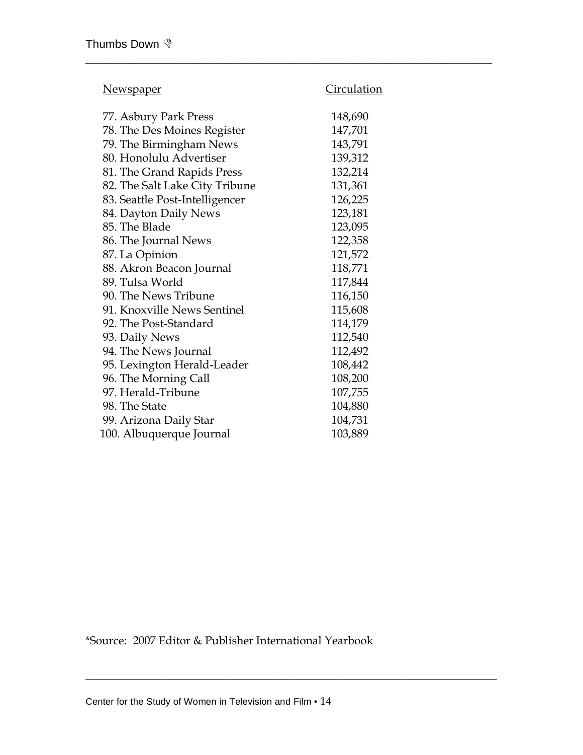| Ne <u>wspaper</u>              | Circulation |
|--------------------------------|-------------|
| 77. Asbury Park Press          | 148,690     |
| 78. The Des Moines Register    | 147,701     |
| 79. The Birmingham News        | 143,791     |
| 80. Honolulu Advertiser        | 139,312     |
| 81. The Grand Rapids Press     | 132,214     |
| 82. The Salt Lake City Tribune | 131,361     |
| 83. Seattle Post-Intelligencer | 126,225     |
| 84. Dayton Daily News          | 123,181     |
| 85. The Blade                  | 123,095     |
| 86. The Journal News           | 122,358     |
| 87. La Opinion                 | 121,572     |
| 88. Akron Beacon Journal       | 118,771     |
| 89. Tulsa World                | 117,844     |
| 90. The News Tribune           | 116,150     |
| 91. Knoxville News Sentinel    | 115,608     |
| 92. The Post-Standard          | 114,179     |
| 93. Daily News                 | 112,540     |
| 94. The News Journal           | 112,492     |
| 95. Lexington Herald-Leader    | 108,442     |
| 96. The Morning Call           | 108,200     |
| 97. Herald-Tribune             | 107,755     |
| 98. The State                  | 104,880     |
| 99. Arizona Daily Star         | 104,731     |
| 100. Albuquerque Journal       | 103,889     |
|                                |             |

\_\_\_\_\_\_\_\_\_\_\_\_\_\_\_\_\_\_\_\_\_\_\_\_\_\_\_\_\_\_\_\_\_\_\_\_\_\_\_\_\_\_\_\_\_\_\_\_\_\_\_\_\_\_\_\_\_\_\_\_\_\_\_\_

\*Source: 2007 Editor & Publisher International Yearbook